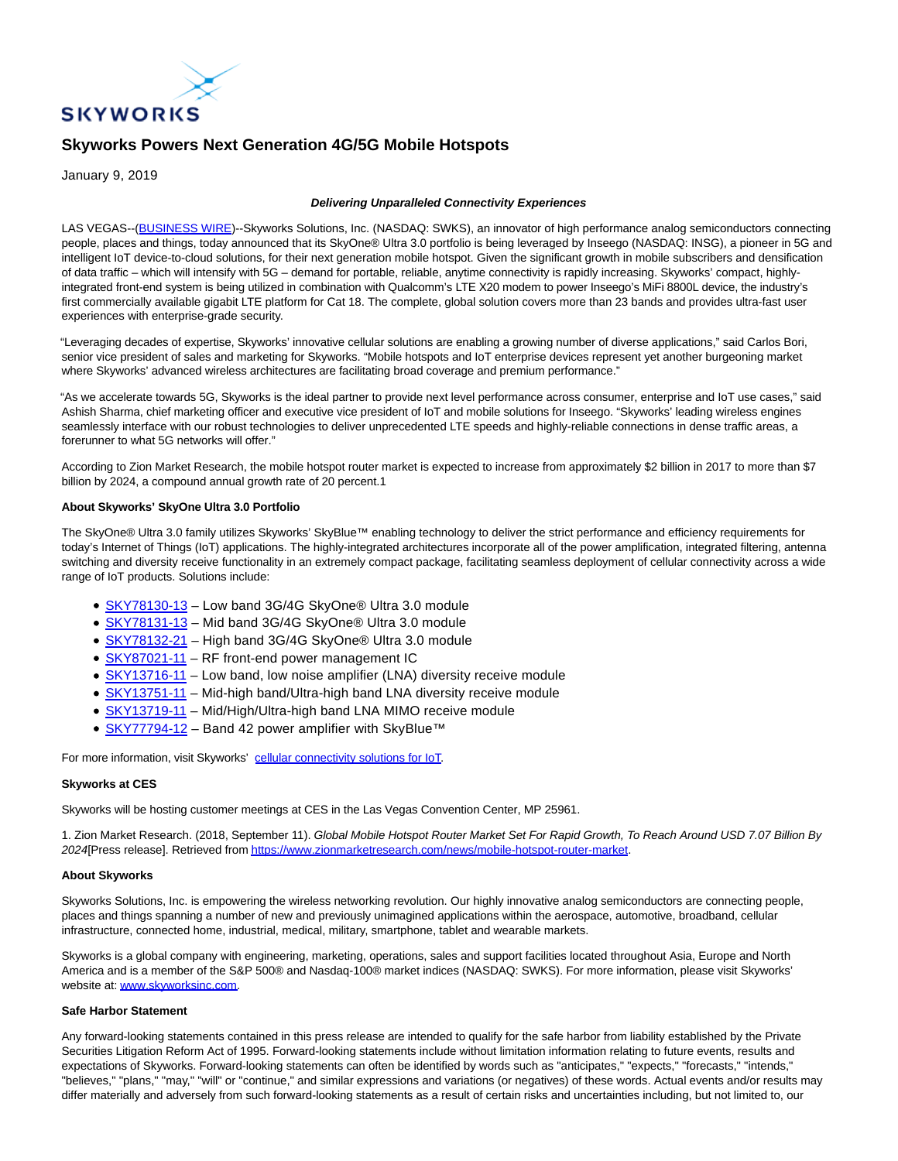

# **Skyworks Powers Next Generation 4G/5G Mobile Hotspots**

January 9, 2019

## **Delivering Unparalleled Connectivity Experiences**

LAS VEGAS--[\(BUSINESS WIRE\)-](https://www.businesswire.com/)-Skyworks Solutions, Inc. (NASDAQ: SWKS), an innovator of high performance analog semiconductors connecting people, places and things, today announced that its SkyOne® Ultra 3.0 portfolio is being leveraged by Inseego (NASDAQ: INSG), a pioneer in 5G and intelligent IoT device-to-cloud solutions, for their next generation mobile hotspot. Given the significant growth in mobile subscribers and densification of data traffic – which will intensify with 5G – demand for portable, reliable, anytime connectivity is rapidly increasing. Skyworks' compact, highlyintegrated front-end system is being utilized in combination with Qualcomm's LTE X20 modem to power Inseego's MiFi 8800L device, the industry's first commercially available gigabit LTE platform for Cat 18. The complete, global solution covers more than 23 bands and provides ultra-fast user experiences with enterprise-grade security.

"Leveraging decades of expertise, Skyworks' innovative cellular solutions are enabling a growing number of diverse applications," said Carlos Bori, senior vice president of sales and marketing for Skyworks. "Mobile hotspots and IoT enterprise devices represent yet another burgeoning market where Skyworks' advanced wireless architectures are facilitating broad coverage and premium performance."

"As we accelerate towards 5G, Skyworks is the ideal partner to provide next level performance across consumer, enterprise and IoT use cases," said Ashish Sharma, chief marketing officer and executive vice president of IoT and mobile solutions for Inseego. "Skyworks' leading wireless engines seamlessly interface with our robust technologies to deliver unprecedented LTE speeds and highly-reliable connections in dense traffic areas, a forerunner to what 5G networks will offer."

According to Zion Market Research, the mobile hotspot router market is expected to increase from approximately \$2 billion in 2017 to more than \$7 billion by 2024, a compound annual growth rate of 20 percent.1

#### **About Skyworks' SkyOne Ultra 3.0 Portfolio**

The SkyOne® Ultra 3.0 family utilizes Skyworks' SkyBlue™ enabling technology to deliver the strict performance and efficiency requirements for today's Internet of Things (IoT) applications. The highly-integrated architectures incorporate all of the power amplification, integrated filtering, antenna switching and diversity receive functionality in an extremely compact package, facilitating seamless deployment of cellular connectivity across a wide range of IoT products. Solutions include:

- SKY78130-13 Low band 3G/4G SkyOne® Ultra 3.0 module
- [SKY78131-13 –](https://cts.businesswire.com/ct/CT?id=smartlink&url=http%3A%2F%2Fwww.skyworksinc.com%2FProduct%2F3575%2FSKY78131%3Fsource%3Dpr&esheet=51923135&newsitemid=20190109005214&lan=en-US&anchor=SKY78131-13&index=2&md5=7615cb12cd1f34d0387eededa354d294) Mid band 3G/4G SkyOne® Ultra 3.0 module
- [SKY78132-21 –](https://cts.businesswire.com/ct/CT?id=smartlink&url=http%3A%2F%2Fwww.skyworksinc.com%2FProduct%2F3576%2FSKY78132%3Fsource%3Dpr&esheet=51923135&newsitemid=20190109005214&lan=en-US&anchor=SKY78132-21&index=3&md5=34a0ecd6371ce32926fea23f81308d48) High band 3G/4G SkyOne® Ultra 3.0 module
- [SKY87021-11 –](https://cts.businesswire.com/ct/CT?id=smartlink&url=http%3A%2F%2Fwww.skyworksinc.com%2FProduct%2F3553%2FSKY87021-11%3Fsource%3Dpr&esheet=51923135&newsitemid=20190109005214&lan=en-US&anchor=SKY87021-11&index=4&md5=df2aebf865c8c9160928141aab232046) RF front-end power management IC
- [SKY13716-11 –](https://cts.businesswire.com/ct/CT?id=smartlink&url=http%3A%2F%2Fwww.skyworksinc.com%2FProduct%2F4134%2FSKY13716-11%3Fsource%3Dpr&esheet=51923135&newsitemid=20190109005214&lan=en-US&anchor=SKY13716-11&index=5&md5=90ad9180c6d8f36c7bf17be0906b56d4) Low band, low noise amplifier (LNA) diversity receive module
- [SKY13751-11 –](https://cts.businesswire.com/ct/CT?id=smartlink&url=http%3A%2F%2Fwww.skyworksinc.com%2FProduct%2F4136%2FSKY13751-11%3Fsource%3Dpr&esheet=51923135&newsitemid=20190109005214&lan=en-US&anchor=SKY13751-11&index=6&md5=b72f77b1ff6d1517e2df8a70cd469183) Mid-high band/Ultra-high band LNA diversity receive module
- SKY13719-11 Mid/High/Ultra-high band LNA MIMO receive module
- [SKY77794-12 –](https://cts.businesswire.com/ct/CT?id=smartlink&url=http%3A%2F%2Fwww.skyworksinc.com%2FProduct%2F4204%2FSKY77794-12%3Fsource%3Dpr&esheet=51923135&newsitemid=20190109005214&lan=en-US&anchor=SKY77794-12&index=8&md5=ee0a6770548402df6249abdd98f23693) Band 42 power amplifier with SkyBlue™

For more information, visit Skyworks' [cellular connectivity solutions for IoT.](https://cts.businesswire.com/ct/CT?id=smartlink&url=http%3A%2F%2Fwww.skyworksinc.com%2FProducts%2F622%2FSkyOne%25C2%25AE_Modules%3Fsource%3Dpr&esheet=51923135&newsitemid=20190109005214&lan=en-US&anchor=cellular+connectivity+solutions+for+IoT&index=9&md5=6395e7ac8a2432a3577e610a2bd6c3b4)

## **Skyworks at CES**

Skyworks will be hosting customer meetings at CES in the Las Vegas Convention Center, MP 25961.

1. Zion Market Research. (2018, September 11). Global Mobile Hotspot Router Market Set For Rapid Growth, To Reach Around USD 7.07 Billion By 2024[Press release]. Retrieved fro[m https://www.zionmarketresearch.com/news/mobile-hotspot-router-market.](https://cts.businesswire.com/ct/CT?id=smartlink&url=https%3A%2F%2Fwww.zionmarketresearch.com%2Fnews%2Fmobile-hotspot-router-market&esheet=51923135&newsitemid=20190109005214&lan=en-US&anchor=https%3A%2F%2Fwww.zionmarketresearch.com%2Fnews%2Fmobile-hotspot-router-market&index=10&md5=8243282d03517420be36872e25873637)

## **About Skyworks**

Skyworks Solutions, Inc. is empowering the wireless networking revolution. Our highly innovative analog semiconductors are connecting people, places and things spanning a number of new and previously unimagined applications within the aerospace, automotive, broadband, cellular infrastructure, connected home, industrial, medical, military, smartphone, tablet and wearable markets.

Skyworks is a global company with engineering, marketing, operations, sales and support facilities located throughout Asia, Europe and North America and is a member of the S&P 500® and Nasdaq-100® market indices (NASDAQ: SWKS). For more information, please visit Skyworks' website at[: www.skyworksinc.com.](https://cts.businesswire.com/ct/CT?id=smartlink&url=http%3A%2F%2Fwww.skyworksinc.com&esheet=51923135&newsitemid=20190109005214&lan=en-US&anchor=www.skyworksinc.com&index=11&md5=5f70ebe3e82ae0eb5ff0d954a5f167f0)

#### **Safe Harbor Statement**

Any forward-looking statements contained in this press release are intended to qualify for the safe harbor from liability established by the Private Securities Litigation Reform Act of 1995. Forward-looking statements include without limitation information relating to future events, results and expectations of Skyworks. Forward-looking statements can often be identified by words such as "anticipates," "expects," "forecasts," "intends," "believes," "plans," "may," "will" or "continue," and similar expressions and variations (or negatives) of these words. Actual events and/or results may differ materially and adversely from such forward-looking statements as a result of certain risks and uncertainties including, but not limited to, our